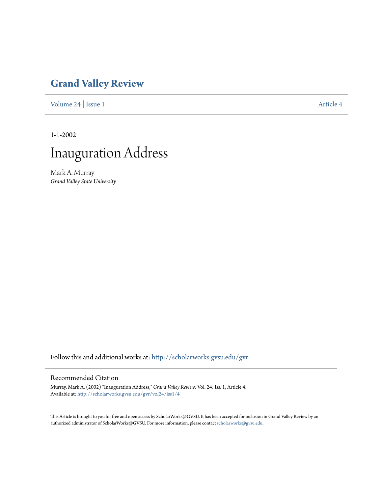## **[Grand Valley Review](http://scholarworks.gvsu.edu/gvr?utm_source=scholarworks.gvsu.edu%2Fgvr%2Fvol24%2Fiss1%2F4&utm_medium=PDF&utm_campaign=PDFCoverPages)**

[Volume 24](http://scholarworks.gvsu.edu/gvr/vol24?utm_source=scholarworks.gvsu.edu%2Fgvr%2Fvol24%2Fiss1%2F4&utm_medium=PDF&utm_campaign=PDFCoverPages) | [Issue 1](http://scholarworks.gvsu.edu/gvr/vol24/iss1?utm_source=scholarworks.gvsu.edu%2Fgvr%2Fvol24%2Fiss1%2F4&utm_medium=PDF&utm_campaign=PDFCoverPages) [Article 4](http://scholarworks.gvsu.edu/gvr/vol24/iss1/4?utm_source=scholarworks.gvsu.edu%2Fgvr%2Fvol24%2Fiss1%2F4&utm_medium=PDF&utm_campaign=PDFCoverPages)

1-1-2002



Mark A. Murray *Grand Valley State University*

Follow this and additional works at: [http://scholarworks.gvsu.edu/gvr](http://scholarworks.gvsu.edu/gvr?utm_source=scholarworks.gvsu.edu%2Fgvr%2Fvol24%2Fiss1%2F4&utm_medium=PDF&utm_campaign=PDFCoverPages)

## Recommended Citation

Murray, Mark A. (2002) "Inauguration Address," *Grand Valley Review*: Vol. 24: Iss. 1, Article 4. Available at: [http://scholarworks.gvsu.edu/gvr/vol24/iss1/4](http://scholarworks.gvsu.edu/gvr/vol24/iss1/4?utm_source=scholarworks.gvsu.edu%2Fgvr%2Fvol24%2Fiss1%2F4&utm_medium=PDF&utm_campaign=PDFCoverPages)

This Article is brought to you for free and open access by ScholarWorks@GVSU. It has been accepted for inclusion in Grand Valley Review by an authorized administrator of ScholarWorks@GVSU. For more information, please contact [scholarworks@gvsu.edu.](mailto:scholarworks@gvsu.edu)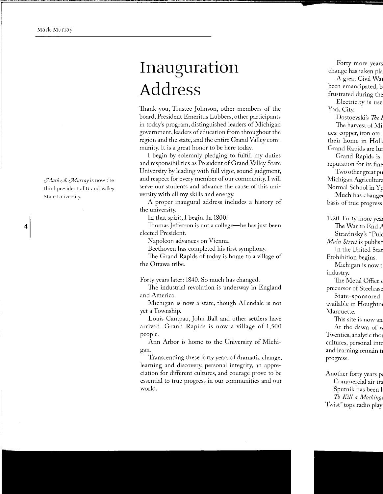*Mark A. Murray* is now the third president of Grand Valley State University.

4

## **Inauguration Address**

Thank you, Trustee Johnson, other members of the board, President Emeritus Lubbers, other participants in today's program, distinguished leaders of Michigan government, leaders of education from throughout the region and the state, and the entire Grand Valley community. It is a great honor to be here today.

I begin by solemnly pledging to fulfill my duties and responsibilities as President of Grand Valley State University by leading with full vigor, sound judgment, and respect for every member of our community. I will serve our students and advance the cause of this university with all my skills and energy.

A proper inaugural address includes a history of the university.

In that spirit, I begin. In 1800!

Thomas Jefferson is not a college—he has just been elected President.

Napoleon advances on Vienna.

Beethoven has completed his first symphony.

The Grand Rapids of today is home to a village of the Ottawa tribe.

Forty years later: 1840. So much has changed.

The industrial revolution is underway in England and America.

Michigan is now a state, though Allendale is not yet a Township.

Louis Campau, John Ball and other settlers have arrived. Grand Rapids is now a village of 1,500 people.

Ann Arbor is home to the University of Michigan.

Transcending these forty years of dramatic change, learning and discovery, personal integrity, an appreciation for different cultures, and courage prove to be essential to true progress in our communities and our world.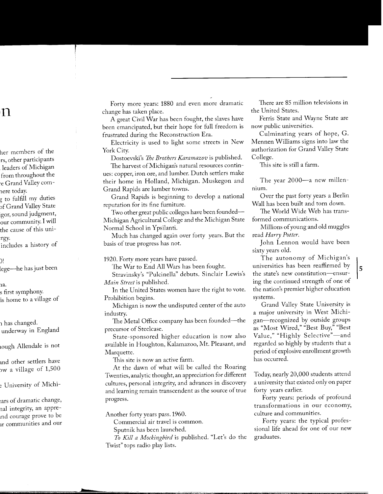Forty more years: 1880 and even more dramatic change has taken place.

A great Civil War has been fought, the slaves have been emancipated, but their hope for full freedom is frustrated during the Reconstruction Era.

Electricity is used to light some streets in New York City.

Dostoevski's *The Brothers Karamazov* is published.

The harvest of Michigan's natural resources continues: copper, iron ore, and lumber. Dutch settlers make their home in Holland, Michigan. Muskegon and Grand Rapids are lumber towns.

Grand Rapids is beginning to develop a national reputation for its fine furniture.

Two other great public colleges have been founded— Michigan Agricultural College and the Michigan State Normal School in Ypsilanti.

Much has changed again over forty years. But the basis of true progress has not.

1920. Forty more years have passed.

The War to End All Wars has been fought.

Stravinsky's "Pulcinella" debuts. Sinclair Lewis's *Main Street* is published.

In the United States women have the right to vote. Prohibition begins.

Michigan is now the undisputed center of the auto industry.

The Metal Office company has been founded—the precursor of Steelcase.

State-sponsored higher education is now also available in Houghton, Kalamazoo, Mt. Pleasant, and Marquette.

This site is now an active farm.

At the dawn of what will be called the Roaring Twenties, analytic thought, an appreciation for different cultures, personal integrity, and advances in discovery and learning remain transcendent as the source of true progress.

Another forty years pass. 1960.

Commercial air travel is common.

Sputnik has been launched.

*To Kill a Mockingbird* is published. "Let's do the Twist" tops radio play lists.

There are 85 million televisions in the United States.

Ferris State and Wayne State are now public universities.

Culminating years of hope, G. Mennen Williams signs into law the authorization for Grand Valley State College.

This site is still a farm.

The year 2000-a new millennium.

Over the past forty years a Berlin Wall has been built and torn down.

The World Wide Web has transformed communications.

Millions of young and old muggles read *Harry Potter.* 

John Lennon would have been sixty years old.

The autonomy of Michigan's universities has been reaffirmed by the state's new constitution-ensuring the continued strength of one of the nation's premier higher education systems.

Grand Valley State University is a major university in West Michigan-recognized by outside groups as "Most Wired," "Best Buy," "Best Value," "Highly Selective"-and regarded so highly by students that a period of explosive enrollment growth has occurred.

Today, nearly 20,000 students attend a university that existed only on paper forty years earlier.

Forty years: periods of profound transformations in our economy, culture and communities.

Forty years: the typical professional life ahead for one of our new graduates.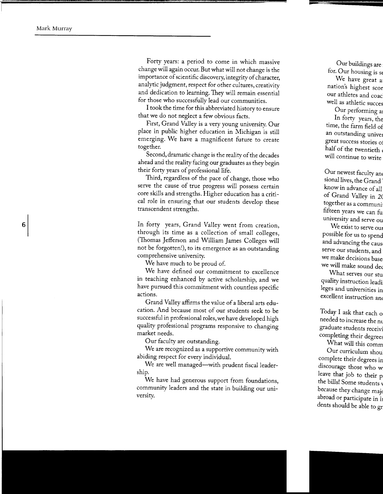Forty years: a period to come in which massive change will again occur. But what will not change is the importance of scientific discovery, integrity of character, analytic judgment, respect for other cultures, creativity and dedication to learning. They will remain essential for those who successfully lead our communities.

I took the time for this abbreviated history to ensure that we do not neglect a few obvious facts.

First, Grand Valley is a very young university. Our place in public higher education in Michigan is still emerging. We have a magnificent future to create together.

Second, dramatic change is the reality of the decades ahead and the reality facing our graduates as they begin their forty years of professional life.

Third, regardless of the pace of change, those who serve the cause of true progress will possess certain core skills and strengths. Higher education has a critical role in ensuring that our students develop these transcendent strengths.

In forty years, Grand Valley went from creation, through its time as a collection of small colleges, (Thomas Jefferson and William James Colleges will not be forgotten!), to its emergence as an outstanding comprehensive university.

We have much to be proud of.

We have defined our commitment to excellence in teaching enhanced by active scholarship, and we have pursued this commitment with countless specific actions.

Grand Valley affirms the value of a liberal arts education. And because most of our students seek to be successful in professional roles, we have developed high quality professional programs responsive to changing market needs.

Our faculty are outstanding.

We are recognized as a supportive community with abiding respect for every individual.

We are well managed—with prudent fiscal leadership.

We have had generous support from foundations, community leaders and the state in building our university.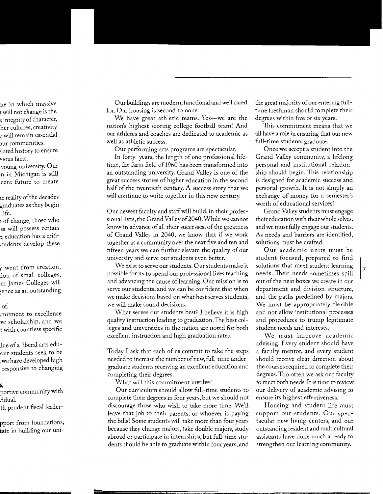Our buildings are modern, functional and well cared for. Our housing is second to none.

We have great athletic teams. Yes—we are the nation's highest scoring college football team! And our athletes and coaches are dedicated to academic as well as athletic success.

Our performing arts programs are spectacular.

In forty years, the length of one professional lifetime, the farm field of1960 has been transformed into an outstanding university. Grand Valley is one of the great success stories of higher education in the second half of the twentieth century. A success story that we will continue to write together in this new century.

Our newest faculty and staff will build, in their professional lives, the Grand Valley of2040. While we cannot know in advance of all their successes, of the greatness of Grand Valley in 2040, we know that if we work together as a community over the next five and ten and fifteen years we can further elevate the quality of our university and serve our students even better.

We exist to serve our students. Our students make it possible for us to spend our professional lives teaching and advancing the cause of learning. Our mission is to serve our students, and we can be confident that when we make decisions based on what best serves students, we will make sound decisions.

What serves our students best? I believe it is high quality instruction leading to graduation. The best colleges and universities in the nation are noted for both excellent instruction and high graduation rates.

Today I ask that each of us commit to take the steps needed to increase the number of new, full-time undergraduate students receiving an excellent education and completing their degrees.

What will this commitment involve?

Our curriculum should allow full-time students to complete their degrees in four years, but we should not discourage those who wish to take more time. We'll leave that job to their parents, or whoever is paying the bills! Some students will take more than four years because they change majors, take double majors, study abroad or participate in internships, but full-time students should be able to graduate within four years, and

the great majority of our entering fulltime freshman should complete their degrees within five or six years.

This commitment means that we all have a role in ensuring that our new full-time students graduate.

Once we accept a student into the Grand Valley community, a lifelong personal and institutional relationship should begin. This relationship is designed for academic success and personal growth. It is not simply an exchange of money for a semester's worth of educational services!

Grand Valley students must engage their education with their whole selves, and we must fully engage our students. As needs and barriers are identified, solutions must be crafted.

Our academic units must be student focused, prepared to find solutions that meet student learning needs. Their needs sometimes spill out of the neat boxes we create in our department and division structure, and the paths predefined by majors. We must be appropriately flexible and not allow institutional processes and procedures to trump legitimate student needs and interests.

We must improve academic advising. Every student should have a faculty mentor, and every student should receive clear direction about the courses required to complete their degrees. Too often we ask our faculty to meet both needs. It is time to review our delivery of academic advising to ensure its highest effectiveness.

Housing and student life must support our students. Our spectacular new living centers, and our outstanding resident and multicultural assistants have done much already to strengthen our learning community.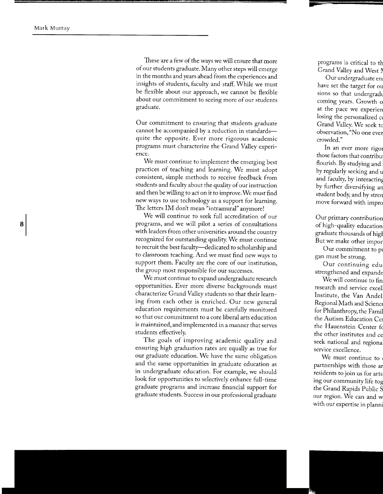These are a few of the ways we will ensure that more of our students graduate. Many other steps will emerge in the months and years ahead from the experiences and insights of students, faculty and staff. While we must be flexible about our approach, we cannot be flexible about our commitment to seeing more of our students graduate.

Our commitment to ensuring that students graduate cannot be accompanied by a reduction in standardsquite the opposite. Ever more rigorous academic programs must characterize the Grand Valley experience.

We must continue to implement the emerging best practices of teaching and learning. We must adopt consistent, simple methods to receive feedback from students and faculty about the quality of our instruction and then be willing to act on it to improve. We must find new ways to use technology as a support for learning. The letters IM don't mean "intramural" anymore!

We will continue to seek full accreditation of our programs, and we will pilot a series of consultations with leaders from other universities around the country recognized for outstanding quality. We must continue to recruit the best faculty-dedicated to scholarship and to classroom teaching. And we must find new ways to support them. Faculty are the core of our institution, the group most responsible for our successes.

We must continue to expand undergraduate research opportunities. Ever more diverse backgrounds must characterize Grand Valley students so that their learning from each other is enriched. Our new general education requirements must be carefully monitored so that our commitment to a core liberal arts education is maintained, and implemented in a manner that serves students effectively.

The goals of improving academic quality and ensuring high graduation rates are equally as true for our graduate education. We have the same obligation and the same opportunities in graduate education as in undergraduate education. For example, we should look for opportunities to selectively enhance full-time graduate programs and increase financial support for graduate students. Success in our professional graduate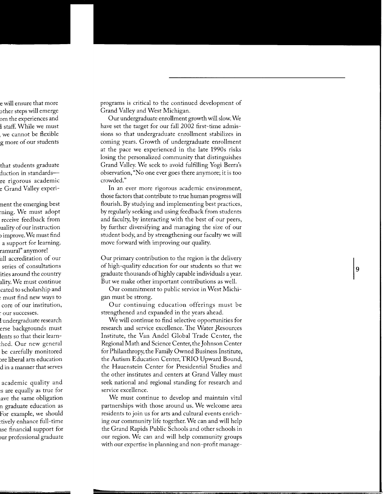programs is critical to the continued development of Grand Valley and West Michigan.

Our undergraduate enrollment growth will slow. We have set the target for our fall 2002 first-time admissions so that undergraduate enrollment stabilizes in coming years. Growth of undergraduate enrollment at the pace we experienced in the late 1990s risks losing the personalized community that distinguishes Grand Valley. We seek to avoid fulfilling Yogi Berra's observation, "No one ever goes there anymore; it is too crowded."

In an ever more rigorous academic environment, those factors that contribute to true human progress will flourish. By studying and implementing best practices, by regularly seeking and using feedback from students and faculty, by interacting with the best of our peers, by further diversifying and managing the size of our student body, and by strengthening our faculty we will move forward with improving our quality.

Our primary contribution to the region is the delivery of high-quality education for our students so that we graduate thousands of highly capable individuals a year. But we make other important contributions as well.

Our commitment to public service in West Michigan must be strong.

Our continuing education offerings must be strengthened and expanded in the years ahead.

We will continue to find selective opportunities for research and service excellence. The Water Resources Institute, the Van Andel Global Trade Center, the Regional Math and Science Center, the Johnson Center for Philanthropy, the Family Owned Business Institute, the Autism Education Center, TRIO Upward Bound, the Hauenstein Center for Presidential Studies and the other institutes and centers at Grand Valley must seek national and regional standing for research and service excellence.

We must continue to develop and maintain vital partnerships with those around us. We welcome area residents to join us for arts and cultural events enriching our community life together. We can and will help the Grand Rapids Public Schools and other schools in our region. We can and will help community groups with our expertise in planning and non-profit manage